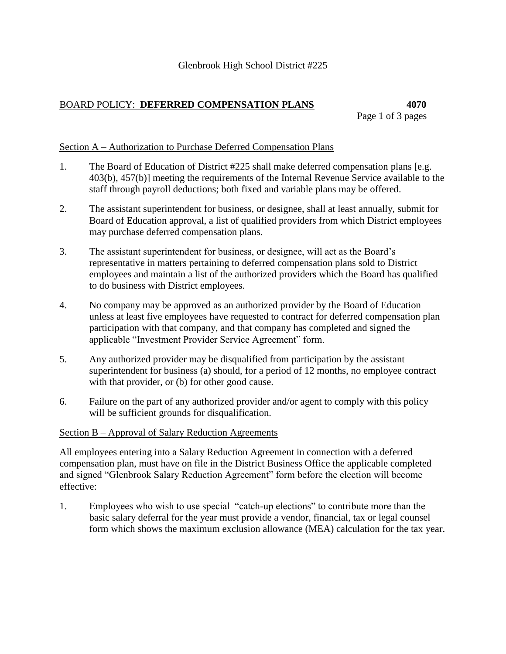## BOARD POLICY: **DEFERRED COMPENSATION PLANS 4070**

# Page 1 of 3 pages

## Section A – Authorization to Purchase Deferred Compensation Plans

- 1. The Board of Education of District #225 shall make deferred compensation plans [e.g. 403(b), 457(b)] meeting the requirements of the Internal Revenue Service available to the staff through payroll deductions; both fixed and variable plans may be offered.
- 2. The assistant superintendent for business, or designee, shall at least annually, submit for Board of Education approval, a list of qualified providers from which District employees may purchase deferred compensation plans.
- 3. The assistant superintendent for business, or designee, will act as the Board's representative in matters pertaining to deferred compensation plans sold to District employees and maintain a list of the authorized providers which the Board has qualified to do business with District employees.
- 4. No company may be approved as an authorized provider by the Board of Education unless at least five employees have requested to contract for deferred compensation plan participation with that company, and that company has completed and signed the applicable "Investment Provider Service Agreement" form.
- 5. Any authorized provider may be disqualified from participation by the assistant superintendent for business (a) should, for a period of 12 months, no employee contract with that provider, or (b) for other good cause.
- 6. Failure on the part of any authorized provider and/or agent to comply with this policy will be sufficient grounds for disqualification.

## Section B – Approval of Salary Reduction Agreements

All employees entering into a Salary Reduction Agreement in connection with a deferred compensation plan, must have on file in the District Business Office the applicable completed and signed "Glenbrook Salary Reduction Agreement" form before the election will become effective:

1. Employees who wish to use special "catch-up elections" to contribute more than the basic salary deferral for the year must provide a vendor, financial, tax or legal counsel form which shows the maximum exclusion allowance (MEA) calculation for the tax year.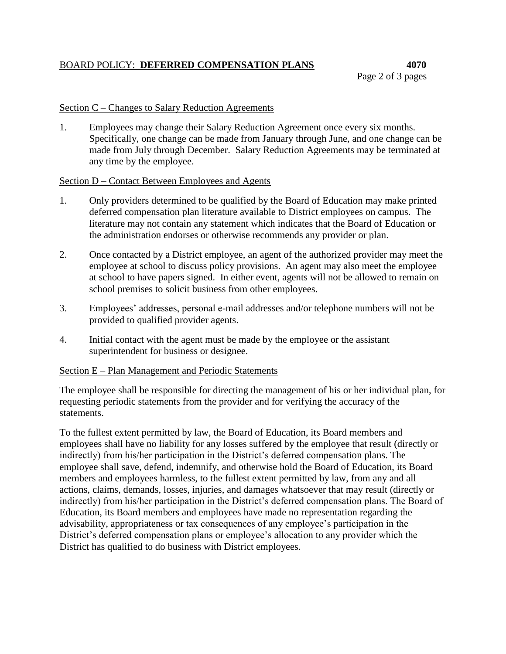## BOARD POLICY: **DEFERRED COMPENSATION PLANS 4070**

#### Section C – Changes to Salary Reduction Agreements

1. Employees may change their Salary Reduction Agreement once every six months. Specifically, one change can be made from January through June, and one change can be made from July through December. Salary Reduction Agreements may be terminated at any time by the employee.

#### Section D – Contact Between Employees and Agents

- 1. Only providers determined to be qualified by the Board of Education may make printed deferred compensation plan literature available to District employees on campus. The literature may not contain any statement which indicates that the Board of Education or the administration endorses or otherwise recommends any provider or plan.
- 2. Once contacted by a District employee, an agent of the authorized provider may meet the employee at school to discuss policy provisions. An agent may also meet the employee at school to have papers signed. In either event, agents will not be allowed to remain on school premises to solicit business from other employees.
- 3. Employees' addresses, personal e-mail addresses and/or telephone numbers will not be provided to qualified provider agents.
- 4. Initial contact with the agent must be made by the employee or the assistant superintendent for business or designee.

#### Section E – Plan Management and Periodic Statements

The employee shall be responsible for directing the management of his or her individual plan, for requesting periodic statements from the provider and for verifying the accuracy of the statements.

To the fullest extent permitted by law, the Board of Education, its Board members and employees shall have no liability for any losses suffered by the employee that result (directly or indirectly) from his/her participation in the District's deferred compensation plans. The employee shall save, defend, indemnify, and otherwise hold the Board of Education, its Board members and employees harmless, to the fullest extent permitted by law, from any and all actions, claims, demands, losses, injuries, and damages whatsoever that may result (directly or indirectly) from his/her participation in the District's deferred compensation plans. The Board of Education, its Board members and employees have made no representation regarding the advisability, appropriateness or tax consequences of any employee's participation in the District's deferred compensation plans or employee's allocation to any provider which the District has qualified to do business with District employees.